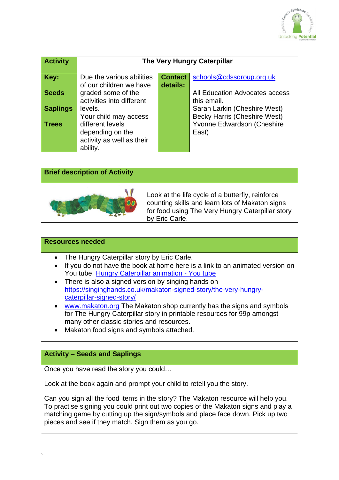

| <b>Activity</b> | <b>The Very Hungry Caterpillar</b>                                                                     |                            |                                                                            |
|-----------------|--------------------------------------------------------------------------------------------------------|----------------------------|----------------------------------------------------------------------------|
| Key:            | Due the various abilities<br>of our children we have                                                   | <b>Contact</b><br>details: | schools@cdssgroup.org.uk                                                   |
| <b>Seeds</b>    | graded some of the<br>activities into different                                                        |                            | All Education Advocates access<br>this email.                              |
| <b>Saplings</b> | levels.                                                                                                |                            | Sarah Larkin (Cheshire West)                                               |
| <b>Trees</b>    | Your child may access<br>different levels<br>depending on the<br>activity as well as their<br>ability. |                            | <b>Becky Harris (Cheshire West)</b><br>Yvonne Edwardson (Cheshire<br>East) |

## **Brief description of Activity**



Look at the life cycle of a butterfly, reinforce counting skills and learn lots of Makaton signs for food using The Very Hungry Caterpillar story by Eric Carle.

#### **Resources needed**

- The Hungry Caterpillar story by Eric Carle.
- If you do not have the book at home here is a link to an animated version on You tube. [Hungry Caterpillar animation -](https://youtu.be/75NQK-Sm1YY) You tube
- There is also a signed version by singing hands on [https://singinghands.co.uk/makaton-signed-story/the-very-hungry](https://singinghands.co.uk/makaton-signed-story/the-very-hungry-caterpillar-signed-story/)[caterpillar-signed-story/](https://singinghands.co.uk/makaton-signed-story/the-very-hungry-caterpillar-signed-story/)
- [www.makaton.org](http://www.makaton.org/) The Makaton shop currently has the signs and symbols for The Hungry Caterpillar story in printable resources for 99p amongst many other classic stories and resources.
- Makaton food signs and symbols attached.

### **Activity – Seeds and Saplings**

Once you have read the story you could…

Look at the book again and prompt your child to retell you the story.

Can you sign all the food items in the story? The Makaton resource will help you. To practise signing you could print out two copies of the Makaton signs and play a matching game by cutting up the sign/symbols and place face down. Pick up two pieces and see if they match. Sign them as you go.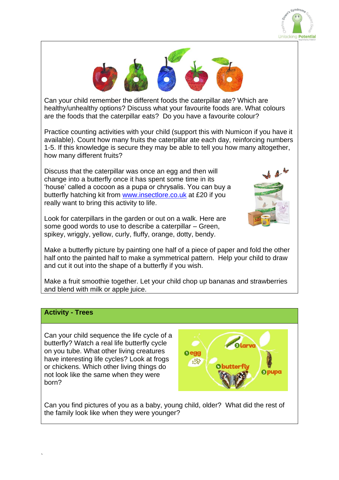



Can your child remember the different foods the caterpillar ate? Which are healthy/unhealthy options? Discuss what your favourite foods are. What colours are the foods that the caterpillar eats? Do you have a favourite colour?

Practice counting activities with your child (support this with Numicon if you have it available). Count how many fruits the caterpillar ate each day, reinforcing numbers 1-5. If this knowledge is secure they may be able to tell you how many altogether, how many different fruits?

Discuss that the caterpillar was once an egg and then will change into a butterfly once it has spent some time in its 'house' called a cocoon as a pupa or chrysalis. You can buy a butterfly hatching kit from [www.insectlore.co.uk](http://www.insectlore.co.uk/) at £20 if you really want to bring this activity to life.

Look for caterpillars in the garden or out on a walk. Here are some good words to use to describe a caterpillar – Green, spikey, wriggly, yellow, curly, fluffy, orange, dotty, bendy.



half onto the painted half to make a symmetrical pattern. Help your child to draw and cut it out into the shape of a butterfly if you wish.

Make a fruit smoothie together. Let your child chop up bananas and strawberries and blend with milk or apple juice.

### **Activity - Trees**

`

Can your child sequence the life cycle of a butterfly? Watch a real life butterfly cycle on you tube. What other living creatures have interesting life cycles? Look at frogs or chickens. Which other living things do not look like the same when they were born?



Can you find pictures of you as a baby, young child, older? What did the rest of the family look like when they were younger?